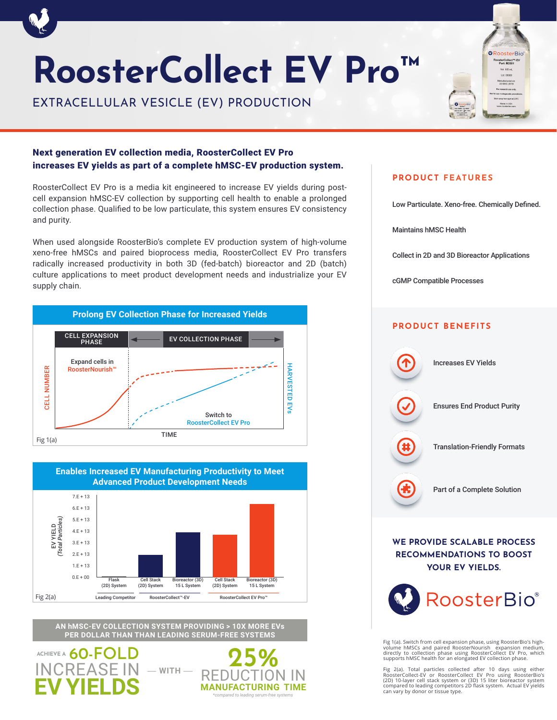# **RoosterCollect EV Pro™**

EXTRACELLULAR VESICLE (EV) PRODUCTION



## Next generation EV collection media, RoosterCollect EV Pro increases EV yields as part of a complete hMSC-EV production system.

RoosterCollect EV Pro is a media kit engineered to increase EV yields during postcell expansion hMSC-EV collection by supporting cell health to enable a prolonged collection phase. Qualified to be low particulate, this system ensures EV consistency and purity.

When used alongside RoosterBio's complete EV production system of high-volume xeno-free hMSCs and paired bioprocess media, RoosterCollect EV Pro transfers radically increased productivity in both 3D (fed-batch) bioreactor and 2D (batch) culture applications to meet product development needs and industrialize your EV supply chain.





**AN hMSC-EV COLLECTION SYSTEM PROVIDING > 10X MORE EVs PER DOLLAR THAN THAN LEADING SERUM-FREE SYSTEMS**





## **PRODUCT FEATURES**

Low Particulate. Xeno-free. Chemically Defined.

Maintains hMSC Health

Collect in 2D and 3D Bioreactor Applications

cGMP Compatible Processes

## **PRODUCT BENEFITS**



**WE PROVIDE SCALABLE PROCESS RECOMMENDATIONS TO BOOST YOUR EV YIELDS.**



Fig 1(a). Switch from cell expansion phase, using RoosterBio's high-<br>volume hMSCs and paired RoosterNourish expansion medium,<br>directly to collection phase using RoosterCollect EV Pro, which<br>supports hMSC health for an elon

Fig. 2(a). Total particles collected after 10 days using either<br>RoosterCollect-EV or RoosterCollect EV Pro using RoosterBio's<br>(2D) 10-layer cell stack system or (3D) 15 liter bioreactor system<br>compared to leading competito